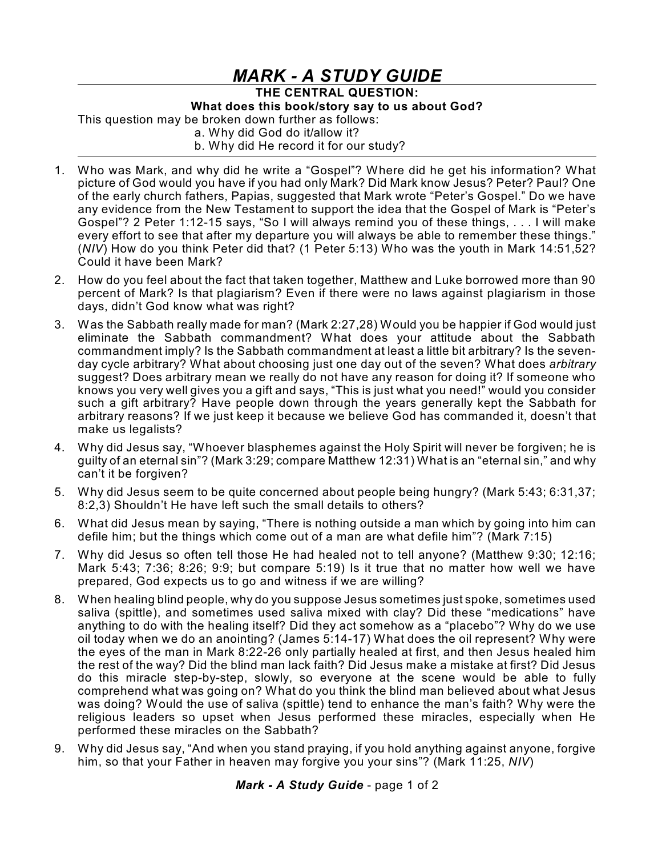## *MARK - A STUDY GUIDE*

**THE CENTRAL QUESTION:**

**What does this book/story say to us about God?**

This question may be broken down further as follows:

a. Why did God do it/allow it?

b. Why did He record it for our study?

- 1. Who was Mark, and why did he write a "Gospel"? Where did he get his information? What picture of God would you have if you had only Mark? Did Mark know Jesus? Peter? Paul? One of the early church fathers, Papias, suggested that Mark wrote "Peter's Gospel." Do we have any evidence from the New Testament to support the idea that the Gospel of Mark is "Peter's Gospel"? 2 Peter 1:12-15 says, "So I will always remind you of these things, . . . I will make every effort to see that after my departure you will always be able to remember these things." (*NIV*) How do you think Peter did that? (1 Peter 5:13) Who was the youth in Mark 14:51,52? Could it have been Mark?
- 2. How do you feel about the fact that taken together, Matthew and Luke borrowed more than 90 percent of Mark? Is that plagiarism? Even if there were no laws against plagiarism in those days, didn't God know what was right?
- 3. Was the Sabbath really made for man? (Mark 2:27,28) Would you be happier if God would just eliminate the Sabbath commandment? What does your attitude about the Sabbath commandment imply? Is the Sabbath commandment at least a little bit arbitrary? Is the sevenday cycle arbitrary? What about choosing just one day out of the seven? What does *arbitrary* suggest? Does arbitrary mean we really do not have any reason for doing it? If someone who knows you very well gives you a gift and says, "This is just what you need!" would you consider such a gift arbitrary? Have people down through the years generally kept the Sabbath for arbitrary reasons? If we just keep it because we believe God has commanded it, doesn't that make us legalists?
- 4. Why did Jesus say, "Whoever blasphemes against the Holy Spirit will never be forgiven; he is guilty of an eternal sin"? (Mark 3:29; compare Matthew 12:31) What is an "eternal sin," and why can't it be forgiven?
- 5. Why did Jesus seem to be quite concerned about people being hungry? (Mark 5:43; 6:31,37; 8:2,3) Shouldn't He have left such the small details to others?
- 6. What did Jesus mean by saying, "There is nothing outside a man which by going into him can defile him; but the things which come out of a man are what defile him"? (Mark 7:15)
- 7. Why did Jesus so often tell those He had healed not to tell anyone? (Matthew 9:30; 12:16; Mark 5:43; 7:36; 8:26; 9:9; but compare 5:19) Is it true that no matter how well we have prepared, God expects us to go and witness if we are willing?
- 8. When healing blind people, why do you suppose Jesus sometimes just spoke, sometimes used saliva (spittle), and sometimes used saliva mixed with clay? Did these "medications" have anything to do with the healing itself? Did they act somehow as a "placebo"? Why do we use oil today when we do an anointing? (James 5:14-17) What does the oil represent? Why were the eyes of the man in Mark 8:22-26 only partially healed at first, and then Jesus healed him the rest of the way? Did the blind man lack faith? Did Jesus make a mistake at first? Did Jesus do this miracle step-by-step, slowly, so everyone at the scene would be able to fully comprehend what was going on? What do you think the blind man believed about what Jesus was doing? Would the use of saliva (spittle) tend to enhance the man's faith? Why were the religious leaders so upset when Jesus performed these miracles, especially when He performed these miracles on the Sabbath?
- 9. Why did Jesus say, "And when you stand praying, if you hold anything against anyone, forgive him, so that your Father in heaven may forgive you your sins"? (Mark 11:25, *NIV*)

*Mark - A Study Guide* - page 1 of 2